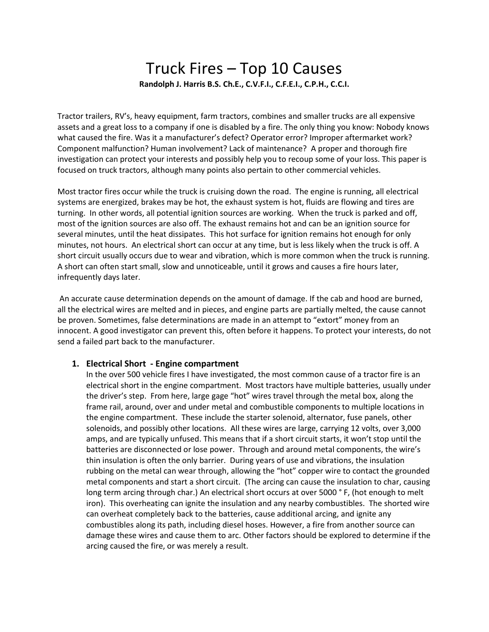# Truck Fires – Top 10 Causes **Randolph J. Harris B.S. Ch.E., C.V.F.I., C.F.E.I., C.P.H., C.C.I.**

Tractor trailers, RV's, heavy equipment, farm tractors, combines and smaller trucks are all expensive assets and a great loss to a company if one is disabled by a fire. The only thing you know: Nobody knows what caused the fire. Was it a manufacturer's defect? Operator error? Improper aftermarket work? Component malfunction? Human involvement? Lack of maintenance? A proper and thorough fire investigation can protect your interests and possibly help you to recoup some of your loss. This paper is focused on truck tractors, although many points also pertain to other commercial vehicles.

Most tractor fires occur while the truck is cruising down the road. The engine is running, all electrical systems are energized, brakes may be hot, the exhaust system is hot, fluids are flowing and tires are turning. In other words, all potential ignition sources are working. When the truck is parked and off, most of the ignition sources are also off. The exhaust remains hot and can be an ignition source for several minutes, until the heat dissipates. This hot surface for ignition remains hot enough for only minutes, not hours. An electrical short can occur at any time, but is less likely when the truck is off. A short circuit usually occurs due to wear and vibration, which is more common when the truck is running. A short can often start small, slow and unnoticeable, until it grows and causes a fire hours later, infrequently days later.

An accurate cause determination depends on the amount of damage. If the cab and hood are burned, all the electrical wires are melted and in pieces, and engine parts are partially melted, the cause cannot be proven. Sometimes, false determinations are made in an attempt to "extort" money from an innocent. A good investigator can prevent this, often before it happens. To protect your interests, do not send a failed part back to the manufacturer.

#### **1. Electrical Short - Engine compartment**

In the over 500 vehicle fires I have investigated, the most common cause of a tractor fire is an electrical short in the engine compartment. Most tractors have multiple batteries, usually under the driver's step. From here, large gage "hot" wires travel through the metal box, along the frame rail, around, over and under metal and combustible components to multiple locations in the engine compartment. These include the starter solenoid, alternator, fuse panels, other solenoids, and possibly other locations. All these wires are large, carrying 12 volts, over 3,000 amps, and are typically unfused. This means that if a short circuit starts, it won't stop until the batteries are disconnected or lose power. Through and around metal components, the wire's thin insulation is often the only barrier. During years of use and vibrations, the insulation rubbing on the metal can wear through, allowing the "hot" copper wire to contact the grounded metal components and start a short circuit. (The arcing can cause the insulation to char, causing long term arcing through char.) An electrical short occurs at over 5000 °F, (hot enough to melt iron). This overheating can ignite the insulation and any nearby combustibles. The shorted wire can overheat completely back to the batteries, cause additional arcing, and ignite any combustibles along its path, including diesel hoses. However, a fire from another source can damage these wires and cause them to arc. Other factors should be explored to determine if the arcing caused the fire, or was merely a result.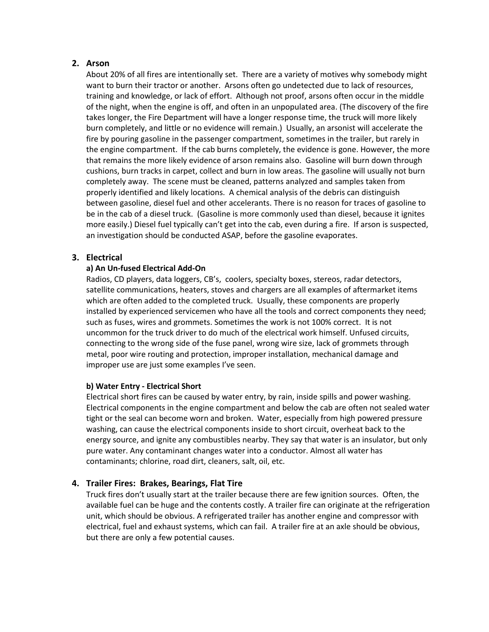## **2. Arson**

About 20% of all fires are intentionally set. There are a variety of motives why somebody might want to burn their tractor or another. Arsons often go undetected due to lack of resources, training and knowledge, or lack of effort. Although not proof, arsons often occur in the middle of the night, when the engine is off, and often in an unpopulated area. (The discovery of the fire takes longer, the Fire Department will have a longer response time, the truck will more likely burn completely, and little or no evidence will remain.) Usually, an arsonist will accelerate the fire by pouring gasoline in the passenger compartment, sometimes in the trailer, but rarely in the engine compartment. If the cab burns completely, the evidence is gone. However, the more that remains the more likely evidence of arson remains also. Gasoline will burn down through cushions, burn tracks in carpet, collect and burn in low areas. The gasoline will usually not burn completely away. The scene must be cleaned, patterns analyzed and samples taken from properly identified and likely locations. A chemical analysis of the debris can distinguish between gasoline, diesel fuel and other accelerants. There is no reason for traces of gasoline to be in the cab of a diesel truck. (Gasoline is more commonly used than diesel, because it ignites more easily.) Diesel fuel typically can't get into the cab, even during a fire. If arson is suspected, an investigation should be conducted ASAP, before the gasoline evaporates.

# **3. Electrical**

## **a) An Un-fused Electrical Add-On**

Radios, CD players, data loggers, CB's, coolers, specialty boxes, stereos, radar detectors, satellite communications, heaters, stoves and chargers are all examples of aftermarket items which are often added to the completed truck. Usually, these components are properly installed by experienced servicemen who have all the tools and correct components they need; such as fuses, wires and grommets. Sometimes the work is not 100% correct. It is not uncommon for the truck driver to do much of the electrical work himself. Unfused circuits, connecting to the wrong side of the fuse panel, wrong wire size, lack of grommets through metal, poor wire routing and protection, improper installation, mechanical damage and improper use are just some examples I've seen.

#### **b) Water Entry - Electrical Short**

Electrical short fires can be caused by water entry, by rain, inside spills and power washing. Electrical components in the engine compartment and below the cab are often not sealed water tight or the seal can become worn and broken. Water, especially from high powered pressure washing, can cause the electrical components inside to short circuit, overheat back to the energy source, and ignite any combustibles nearby. They say that water is an insulator, but only pure water. Any contaminant changes water into a conductor. Almost all water has contaminants; chlorine, road dirt, cleaners, salt, oil, etc.

# **4. Trailer Fires: Brakes, Bearings, Flat Tire**

Truck fires don't usually start at the trailer because there are few ignition sources. Often, the available fuel can be huge and the contents costly. A trailer fire can originate at the refrigeration unit, which should be obvious. A refrigerated trailer has another engine and compressor with electrical, fuel and exhaust systems, which can fail. A trailer fire at an axle should be obvious, but there are only a few potential causes.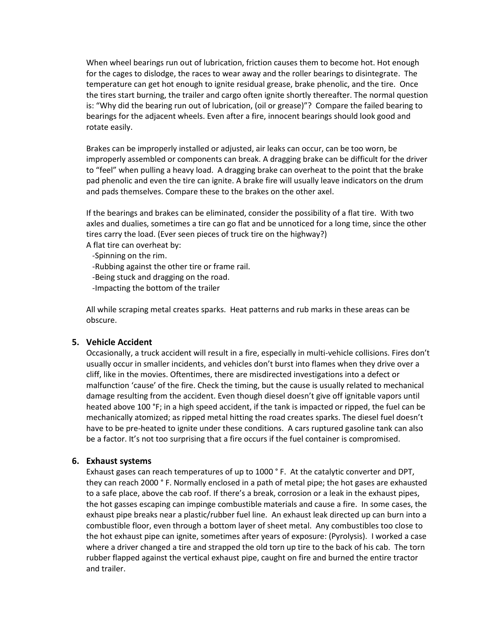When wheel bearings run out of lubrication, friction causes them to become hot. Hot enough for the cages to dislodge, the races to wear away and the roller bearings to disintegrate. The temperature can get hot enough to ignite residual grease, brake phenolic, and the tire. Once the tires start burning, the trailer and cargo often ignite shortly thereafter. The normal question is: "Why did the bearing run out of lubrication, (oil or grease)"? Compare the failed bearing to bearings for the adjacent wheels. Even after a fire, innocent bearings should look good and rotate easily.

Brakes can be improperly installed or adjusted, air leaks can occur, can be too worn, be improperly assembled or components can break. A dragging brake can be difficult for the driver to "feel" when pulling a heavy load. A dragging brake can overheat to the point that the brake pad phenolic and even the tire can ignite. A brake fire will usually leave indicators on the drum and pads themselves. Compare these to the brakes on the other axel.

If the bearings and brakes can be eliminated, consider the possibility of a flat tire. With two axles and dualies, sometimes a tire can go flat and be unnoticed for a long time, since the other tires carry the load. (Ever seen pieces of truck tire on the highway?)

A flat tire can overheat by:

-Spinning on the rim.

-Rubbing against the other tire or frame rail.

-Being stuck and dragging on the road.

-Impacting the bottom of the trailer

All while scraping metal creates sparks. Heat patterns and rub marks in these areas can be obscure.

#### **5. Vehicle Accident**

Occasionally, a truck accident will result in a fire, especially in multi-vehicle collisions. Fires don't usually occur in smaller incidents, and vehicles don't burst into flames when they drive over a cliff, like in the movies. Oftentimes, there are misdirected investigations into a defect or malfunction 'cause' of the fire. Check the timing, but the cause is usually related to mechanical damage resulting from the accident. Even though diesel doesn't give off ignitable vapors until heated above 100 °F; in a high speed accident, if the tank is impacted or ripped, the fuel can be mechanically atomized; as ripped metal hitting the road creates sparks. The diesel fuel doesn't have to be pre-heated to ignite under these conditions. A cars ruptured gasoline tank can also be a factor. It's not too surprising that a fire occurs if the fuel container is compromised.

#### **6. Exhaust systems**

Exhaust gases can reach temperatures of up to 1000 ° F. At the catalytic converter and DPT, they can reach 2000 ° F. Normally enclosed in a path of metal pipe; the hot gases are exhausted to a safe place, above the cab roof. If there's a break, corrosion or a leak in the exhaust pipes, the hot gasses escaping can impinge combustible materials and cause a fire. In some cases, the exhaust pipe breaks near a plastic/rubber fuel line. An exhaust leak directed up can burn into a combustible floor, even through a bottom layer of sheet metal. Any combustibles too close to the hot exhaust pipe can ignite, sometimes after years of exposure: (Pyrolysis). I worked a case where a driver changed a tire and strapped the old torn up tire to the back of his cab. The torn rubber flapped against the vertical exhaust pipe, caught on fire and burned the entire tractor and trailer.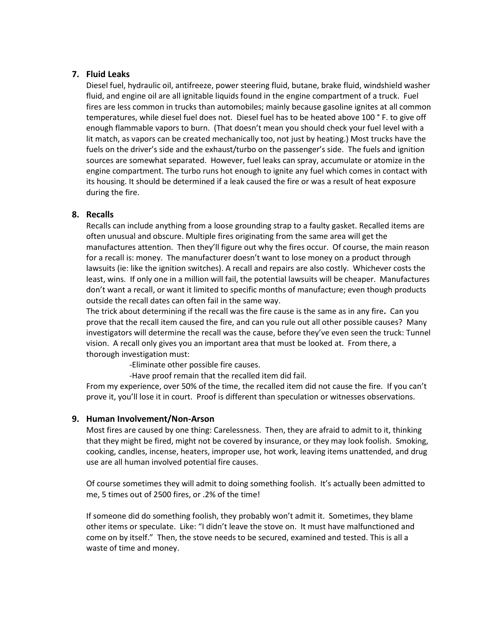## **7. Fluid Leaks**

Diesel fuel, hydraulic oil, antifreeze, power steering fluid, butane, brake fluid, windshield washer fluid, and engine oil are all ignitable liquids found in the engine compartment of a truck. Fuel fires are less common in trucks than automobiles; mainly because gasoline ignites at all common temperatures, while diesel fuel does not. Diesel fuel has to be heated above 100 ° F. to give off enough flammable vapors to burn. (That doesn't mean you should check your fuel level with a lit match, as vapors can be created mechanically too, not just by heating.) Most trucks have the fuels on the driver's side and the exhaust/turbo on the passenger's side. The fuels and ignition sources are somewhat separated. However, fuel leaks can spray, accumulate or atomize in the engine compartment. The turbo runs hot enough to ignite any fuel which comes in contact with its housing. It should be determined if a leak caused the fire or was a result of heat exposure during the fire.

## **8. Recalls**

Recalls can include anything from a loose grounding strap to a faulty gasket. Recalled items are often unusual and obscure. Multiple fires originating from the same area will get the manufactures attention. Then they'll figure out why the fires occur. Of course, the main reason for a recall is: money. The manufacturer doesn't want to lose money on a product through lawsuits (ie: like the ignition switches). A recall and repairs are also costly. Whichever costs the least, wins. If only one in a million will fail, the potential lawsuits will be cheaper. Manufactures don't want a recall, or want it limited to specific months of manufacture; even though products outside the recall dates can often fail in the same way.

The trick about determining if the recall was the fire cause is the same as in any fire**.** Can you prove that the recall item caused the fire, and can you rule out all other possible causes? Many investigators will determine the recall was the cause, before they've even seen the truck: Tunnel vision. A recall only gives you an important area that must be looked at. From there, a thorough investigation must:

-Eliminate other possible fire causes.

-Have proof remain that the recalled item did fail.

From my experience, over 50% of the time, the recalled item did not cause the fire. If you can't prove it, you'll lose it in court. Proof is different than speculation or witnesses observations.

#### **9. Human Involvement/Non-Arson**

Most fires are caused by one thing: Carelessness. Then, they are afraid to admit to it, thinking that they might be fired, might not be covered by insurance, or they may look foolish. Smoking, cooking, candles, incense, heaters, improper use, hot work, leaving items unattended, and drug use are all human involved potential fire causes.

Of course sometimes they will admit to doing something foolish. It's actually been admitted to me, 5 times out of 2500 fires, or .2% of the time!

If someone did do something foolish, they probably won't admit it. Sometimes, they blame other items or speculate. Like: "I didn't leave the stove on. It must have malfunctioned and come on by itself." Then, the stove needs to be secured, examined and tested. This is all a waste of time and money.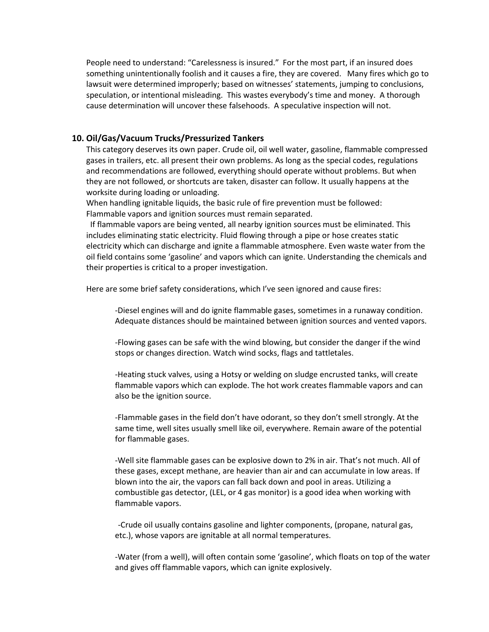People need to understand: "Carelessness is insured." For the most part, if an insured does something unintentionally foolish and it causes a fire, they are covered. Many fires which go to lawsuit were determined improperly; based on witnesses' statements, jumping to conclusions, speculation, or intentional misleading. This wastes everybody's time and money. A thorough cause determination will uncover these falsehoods. A speculative inspection will not.

#### **10. Oil/Gas/Vacuum Trucks/Pressurized Tankers**

This category deserves its own paper. Crude oil, oil well water, gasoline, flammable compressed gases in trailers, etc. all present their own problems. As long as the special codes, regulations and recommendations are followed, everything should operate without problems. But when they are not followed, or shortcuts are taken, disaster can follow. It usually happens at the worksite during loading or unloading.

When handling ignitable liquids, the basic rule of fire prevention must be followed: Flammable vapors and ignition sources must remain separated.

If flammable vapors are being vented, all nearby ignition sources must be eliminated. This includes eliminating static electricity. Fluid flowing through a pipe or hose creates static electricity which can discharge and ignite a flammable atmosphere. Even waste water from the oil field contains some 'gasoline' and vapors which can ignite. Understanding the chemicals and their properties is critical to a proper investigation.

Here are some brief safety considerations, which I've seen ignored and cause fires:

-Diesel engines will and do ignite flammable gases, sometimes in a runaway condition. Adequate distances should be maintained between ignition sources and vented vapors.

-Flowing gases can be safe with the wind blowing, but consider the danger if the wind stops or changes direction. Watch wind socks, flags and tattletales.

-Heating stuck valves, using a Hotsy or welding on sludge encrusted tanks, will create flammable vapors which can explode. The hot work creates flammable vapors and can also be the ignition source.

-Flammable gases in the field don't have odorant, so they don't smell strongly. At the same time, well sites usually smell like oil, everywhere. Remain aware of the potential for flammable gases.

-Well site flammable gases can be explosive down to 2% in air. That's not much. All of these gases, except methane, are heavier than air and can accumulate in low areas. If blown into the air, the vapors can fall back down and pool in areas. Utilizing a combustible gas detector, (LEL, or 4 gas monitor) is a good idea when working with flammable vapors.

-Crude oil usually contains gasoline and lighter components, (propane, natural gas, etc.), whose vapors are ignitable at all normal temperatures.

-Water (from a well), will often contain some 'gasoline', which floats on top of the water and gives off flammable vapors, which can ignite explosively.